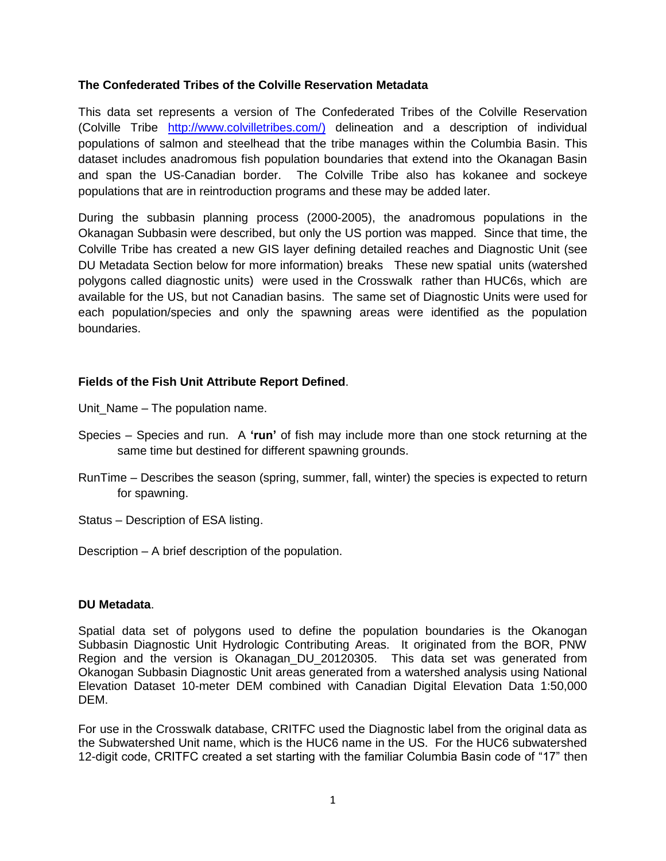## **The Confederated Tribes of the Colville Reservation Metadata**

This data set represents a version of The Confederated Tribes of the Colville Reservation (Colville Tribe [http://www.colvilletribes.com/\)](http://www.colvilletribes.com/) delineation and a description of individual populations of salmon and steelhead that the tribe manages within the Columbia Basin. This dataset includes anadromous fish population boundaries that extend into the Okanagan Basin and span the US-Canadian border. The Colville Tribe also has kokanee and sockeye populations that are in reintroduction programs and these may be added later.

During the subbasin planning process (2000-2005), the anadromous populations in the Okanagan Subbasin were described, but only the US portion was mapped. Since that time, the Colville Tribe has created a new GIS layer defining detailed reaches and Diagnostic Unit (see DU Metadata Section below for more information) breaks These new spatial units (watershed polygons called diagnostic units) were used in the Crosswalk rather than HUC6s, which are available for the US, but not Canadian basins. The same set of Diagnostic Units were used for each population/species and only the spawning areas were identified as the population boundaries.

## **Fields of the Fish Unit Attribute Report Defined**.

Unit Name – The population name.

- Species Species and run. A **'run'** of fish may include more than one stock returning at the same time but destined for different spawning grounds.
- RunTime Describes the season (spring, summer, fall, winter) the species is expected to return for spawning.
- Status Description of ESA listing.

Description – A brief description of the population.

## **DU Metadata**.

Spatial data set of polygons used to define the population boundaries is the Okanogan Subbasin Diagnostic Unit Hydrologic Contributing Areas. It originated from the BOR, PNW Region and the version is Okanagan\_DU\_20120305. This data set was generated from Okanogan Subbasin Diagnostic Unit areas generated from a watershed analysis using National Elevation Dataset 10-meter DEM combined with Canadian Digital Elevation Data 1:50,000 DEM.

For use in the Crosswalk database, CRITFC used the Diagnostic label from the original data as the Subwatershed Unit name, which is the HUC6 name in the US. For the HUC6 subwatershed 12-digit code, CRITFC created a set starting with the familiar Columbia Basin code of "17" then